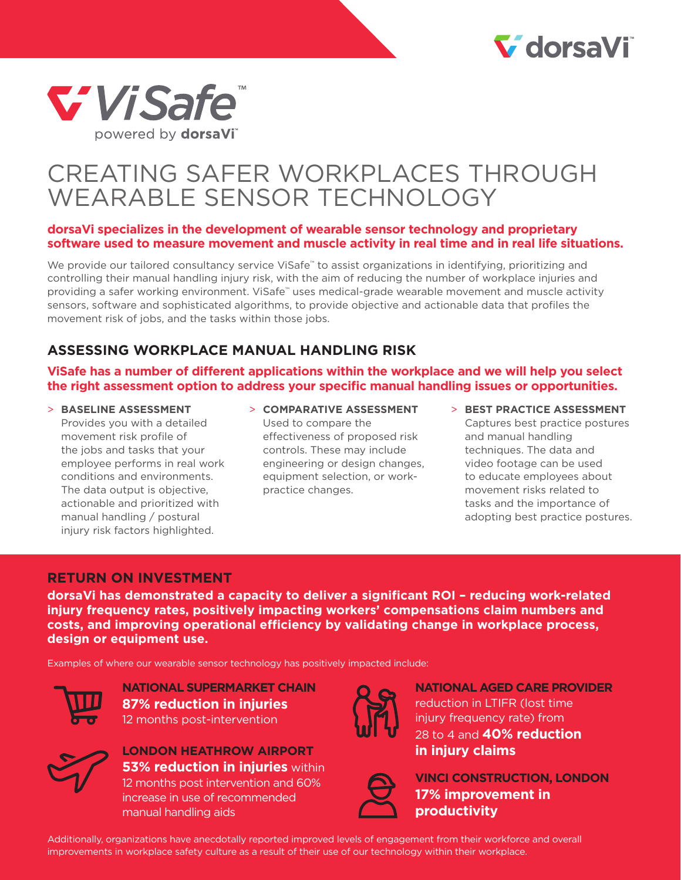# V dorsaVi



# CREATING SAFER WORKPLACES THROUGH WEARABLE SENSOR TECHNOLOGY

#### **dorsaVi specializes in the development of wearable sensor technology and proprietary software used to measure movement and muscle activity in real time and in real life situations.**

We provide our tailored consultancy service ViSafe™ to assist organizations in identifying, prioritizing and controlling their manual handling injury risk, with the aim of reducing the number of workplace injuries and providing a safer working environment. ViSafe™ uses medical-grade wearable movement and muscle activity sensors, software and sophisticated algorithms, to provide objective and actionable data that profiles the movement risk of jobs, and the tasks within those jobs.

### **ASSESSING WORKPLACE MANUAL HANDLING RISK**

**ViSafe has a number of different applications within the workplace and we will help you select the right assessment option to address your specific manual handling issues or opportunities.**

- > **BASELINE ASSESSMENT** Provides you with a detailed movement risk profile of the jobs and tasks that your employee performs in real work conditions and environments. The data output is objective, actionable and prioritized with manual handling / postural injury risk factors highlighted.
- > **COMPARATIVE ASSESSMENT** Used to compare the effectiveness of proposed risk controls. These may include engineering or design changes, equipment selection, or workpractice changes.
- > **BEST PRACTICE ASSESSMENT** Captures best practice postures and manual handling techniques. The data and video footage can be used to educate employees about movement risks related to tasks and the importance of adopting best practice postures.

#### **RETURN ON INVESTMENT**

**dorsaVi has demonstrated a capacity to deliver a significant ROI – reducing work-related injury frequency rates, positively impacting workers' compensations claim numbers and costs, and improving operational efficiency by validating change in workplace process, design or equipment use.**

Examples of where our wearable sensor technology has positively impacted include:



**NATIONAL SUPERMARKET CHAIN 87% reduction in injuries** 12 months post-intervention



**LONDON HEATHROW AIRPORT 53% reduction in injuries** within 12 months post intervention and 60% increase in use of recommended manual handling aids



**NATIONAL AGED CARE PROVIDER** reduction in LTIFR (lost time injury frequency rate) from 28 to 4 and **40% reduction in injury claims**



**VINCI CONSTRUCTION, LONDON 17% improvement in productivity**

Additionally, organizations have anecdotally reported improved levels of engagement from their workforce and overall improvements in workplace safety culture as a result of their use of our technology within their workplace.